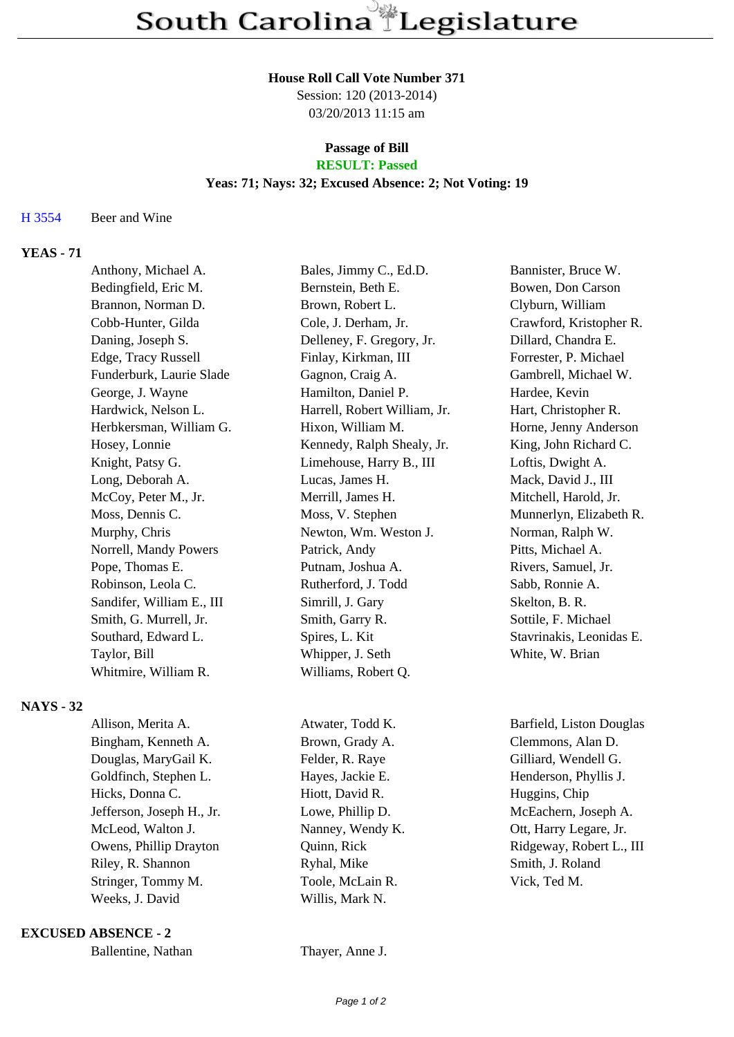#### **House Roll Call Vote Number 371**

Session: 120 (2013-2014) 03/20/2013 11:15 am

#### **Passage of Bill RESULT: Passed**

### **Yeas: 71; Nays: 32; Excused Absence: 2; Not Voting: 19**

#### H 3554 Beer and Wine

# **YEAS - 71**

| Bales, Jimmy C., Ed.D.       | Bannister, Bruce W.      |
|------------------------------|--------------------------|
| Bernstein, Beth E.           | Bowen, Don Carson        |
| Brown, Robert L.             | Clyburn, William         |
| Cole, J. Derham, Jr.         | Crawford, Kristopher R.  |
| Delleney, F. Gregory, Jr.    | Dillard, Chandra E.      |
| Finlay, Kirkman, III         | Forrester, P. Michael    |
| Gagnon, Craig A.             | Gambrell, Michael W.     |
| Hamilton, Daniel P.          | Hardee, Kevin            |
| Harrell, Robert William, Jr. | Hart, Christopher R.     |
| Hixon, William M.            | Horne, Jenny Anderson    |
| Kennedy, Ralph Shealy, Jr.   | King, John Richard C.    |
| Limehouse, Harry B., III     | Loftis, Dwight A.        |
| Lucas, James H.              | Mack, David J., III      |
| Merrill, James H.            | Mitchell, Harold, Jr.    |
| Moss, V. Stephen             | Munnerlyn, Elizabeth R.  |
| Newton, Wm. Weston J.        | Norman, Ralph W.         |
| Patrick, Andy                | Pitts, Michael A.        |
| Putnam, Joshua A.            | Rivers, Samuel, Jr.      |
| Rutherford, J. Todd          | Sabb, Ronnie A.          |
| Simrill, J. Gary             | Skelton, B. R.           |
| Smith, Garry R.              | Sottile, F. Michael      |
| Spires, L. Kit               | Stavrinakis, Leonidas E. |
| Whipper, J. Seth             | White, W. Brian          |
| Williams, Robert Q.          |                          |
|                              |                          |

## **NAYS - 32**

| Allison, Merita A.        | Atwater, Todd K. | Barfield, Liston Douglas |
|---------------------------|------------------|--------------------------|
| Bingham, Kenneth A.       | Brown, Grady A.  | Clemmons, Alan D.        |
| Douglas, MaryGail K.      | Felder, R. Raye  | Gilliard, Wendell G.     |
| Goldfinch, Stephen L.     | Hayes, Jackie E. | Henderson, Phyllis J.    |
| Hicks, Donna C.           | Hiott, David R.  | Huggins, Chip            |
| Jefferson, Joseph H., Jr. | Lowe, Phillip D. | McEachern, Joseph A.     |
| McLeod, Walton J.         | Nanney, Wendy K. | Ott, Harry Legare, Jr.   |
| Owens, Phillip Drayton    | Quinn, Rick      | Ridgeway, Robert L., III |
| Riley, R. Shannon         | Ryhal, Mike      | Smith, J. Roland         |
| Stringer, Tommy M.        | Toole, McLain R. | Vick, Ted M.             |
| Weeks, J. David           | Willis, Mark N.  |                          |
|                           |                  |                          |

**EXCUSED ABSENCE - 2**

Thayer, Anne J.